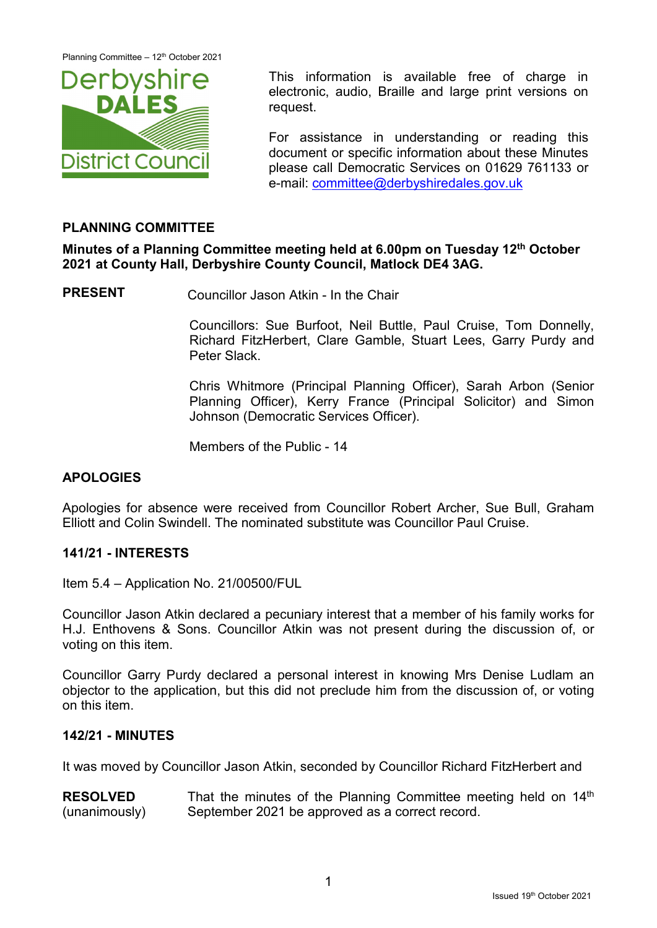

This information is available free of charge in electronic, audio, Braille and large print versions on request.

For assistance in understanding or reading this document or specific information about these Minutes please call Democratic Services on 01629 761133 or e-mail: [committee@derbyshiredales.gov.uk](mailto:committee@derbyshiredales.gov.uk)

# **PLANNING COMMITTEE**

**Minutes of a Planning Committee meeting held at 6.00pm on Tuesday 12th October 2021 at County Hall, Derbyshire County Council, Matlock DE4 3AG.**

**PRESENT** Councillor Jason Atkin - In the Chair

Councillors: Sue Burfoot, Neil Buttle, Paul Cruise, Tom Donnelly, Richard FitzHerbert, Clare Gamble, Stuart Lees, Garry Purdy and Peter Slack.

Chris Whitmore (Principal Planning Officer), Sarah Arbon (Senior Planning Officer), Kerry France (Principal Solicitor) and Simon Johnson (Democratic Services Officer).

Members of the Public - 14

### **APOLOGIES**

Apologies for absence were received from Councillor Robert Archer, Sue Bull, Graham Elliott and Colin Swindell. The nominated substitute was Councillor Paul Cruise.

### **141/21 - INTERESTS**

Item 5.4 – Application No. 21/00500/FUL

Councillor Jason Atkin declared a pecuniary interest that a member of his family works for H.J. Enthovens & Sons. Councillor Atkin was not present during the discussion of, or voting on this item.

Councillor Garry Purdy declared a personal interest in knowing Mrs Denise Ludlam an objector to the application, but this did not preclude him from the discussion of, or voting on this item.

### **142/21 - MINUTES**

It was moved by Councillor Jason Atkin, seconded by Councillor Richard FitzHerbert and

**RESOLVED** (unanimously) That the minutes of the Planning Committee meeting held on 14<sup>th</sup> September 2021 be approved as a correct record.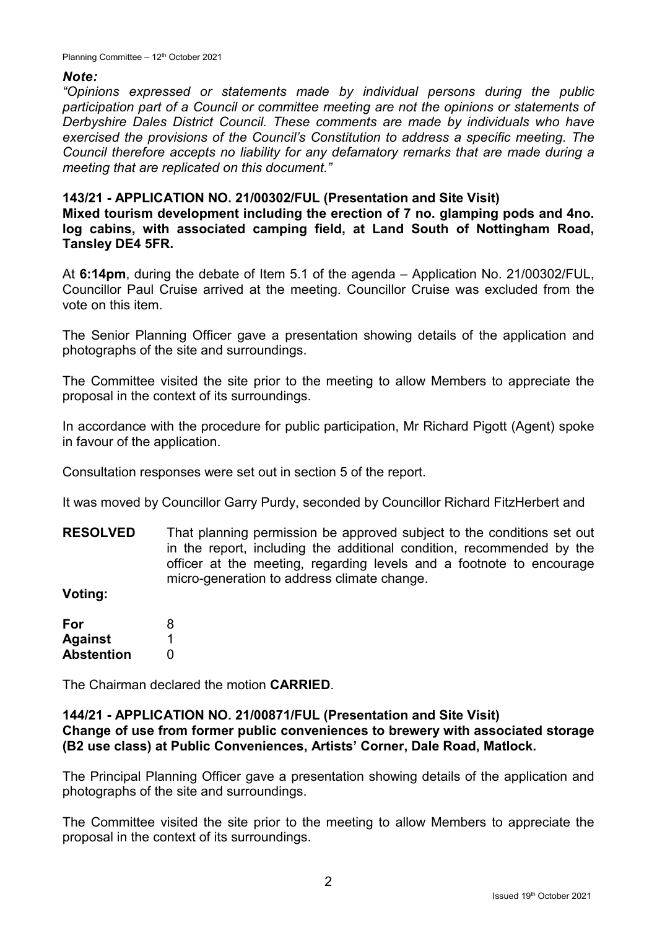# *Note:*

*"Opinions expressed or statements made by individual persons during the public participation part of a Council or committee meeting are not the opinions or statements of Derbyshire Dales District Council. These comments are made by individuals who have exercised the provisions of the Council's Constitution to address a specific meeting. The Council therefore accepts no liability for any defamatory remarks that are made during a meeting that are replicated on this document."*

# **143/21 - APPLICATION NO. 21/00302/FUL (Presentation and Site Visit)**

**Mixed tourism development including the erection of 7 no. glamping pods and 4no. log cabins, with associated camping field, at Land South of Nottingham Road, Tansley DE4 5FR.**

At **6:14pm**, during the debate of Item 5.1 of the agenda – Application No. 21/00302/FUL, Councillor Paul Cruise arrived at the meeting. Councillor Cruise was excluded from the vote on this item.

The Senior Planning Officer gave a presentation showing details of the application and photographs of the site and surroundings.

The Committee visited the site prior to the meeting to allow Members to appreciate the proposal in the context of its surroundings.

In accordance with the procedure for public participation, Mr Richard Pigott (Agent) spoke in favour of the application.

Consultation responses were set out in section 5 of the report.

It was moved by Councillor Garry Purdy, seconded by Councillor Richard FitzHerbert and

**RESOLVED** That planning permission be approved subject to the conditions set out in the report, including the additional condition, recommended by the officer at the meeting, regarding levels and a footnote to encourage micro-generation to address climate change.

**Voting:**

| For               | 8 |
|-------------------|---|
| <b>Against</b>    |   |
| <b>Abstention</b> | O |

The Chairman declared the motion **CARRIED**.

### **144/21 - APPLICATION NO. 21/00871/FUL (Presentation and Site Visit) Change of use from former public conveniences to brewery with associated storage (B2 use class) at Public Conveniences, Artists' Corner, Dale Road, Matlock.**

The Principal Planning Officer gave a presentation showing details of the application and photographs of the site and surroundings.

The Committee visited the site prior to the meeting to allow Members to appreciate the proposal in the context of its surroundings.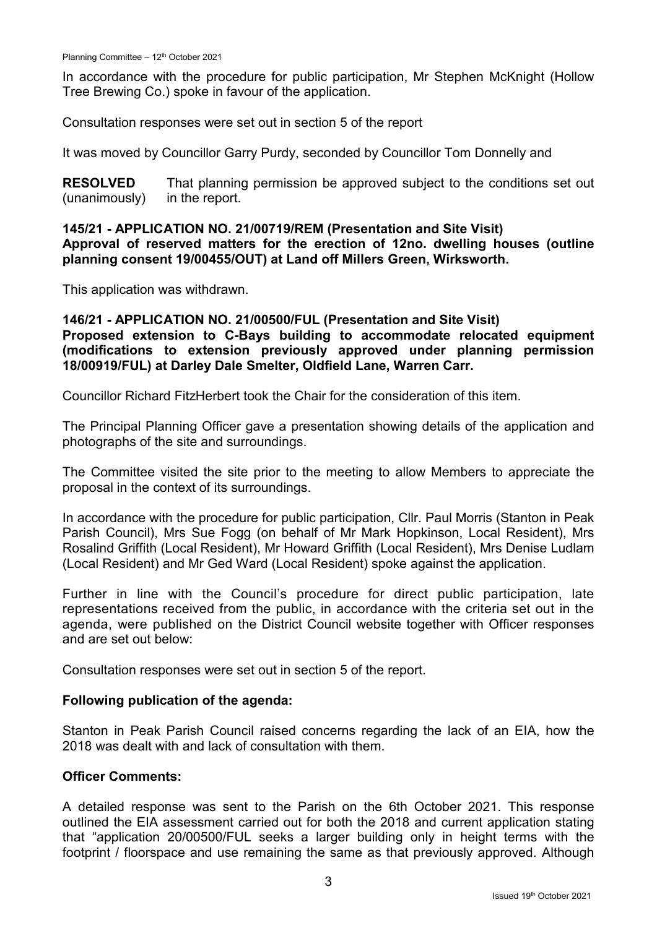In accordance with the procedure for public participation, Mr Stephen McKnight (Hollow Tree Brewing Co.) spoke in favour of the application.

Consultation responses were set out in section 5 of the report

It was moved by Councillor Garry Purdy, seconded by Councillor Tom Donnelly and

**RESOLVED** (unanimously) That planning permission be approved subject to the conditions set out in the report.

**145/21 - APPLICATION NO. 21/00719/REM (Presentation and Site Visit) Approval of reserved matters for the erection of 12no. dwelling houses (outline planning consent 19/00455/OUT) at Land off Millers Green, Wirksworth.**

This application was withdrawn.

### **146/21 - APPLICATION NO. 21/00500/FUL (Presentation and Site Visit) Proposed extension to C-Bays building to accommodate relocated equipment (modifications to extension previously approved under planning permission 18/00919/FUL) at Darley Dale Smelter, Oldfield Lane, Warren Carr.**

Councillor Richard FitzHerbert took the Chair for the consideration of this item.

The Principal Planning Officer gave a presentation showing details of the application and photographs of the site and surroundings.

The Committee visited the site prior to the meeting to allow Members to appreciate the proposal in the context of its surroundings.

In accordance with the procedure for public participation, Cllr. Paul Morris (Stanton in Peak Parish Council), Mrs Sue Fogg (on behalf of Mr Mark Hopkinson, Local Resident), Mrs Rosalind Griffith (Local Resident), Mr Howard Griffith (Local Resident), Mrs Denise Ludlam (Local Resident) and Mr Ged Ward (Local Resident) spoke against the application.

Further in line with the Council's procedure for direct public participation, late representations received from the public, in accordance with the criteria set out in the agenda, were published on the District Council website together with Officer responses and are set out below:

Consultation responses were set out in section 5 of the report.

#### **Following publication of the agenda:**

Stanton in Peak Parish Council raised concerns regarding the lack of an EIA, how the 2018 was dealt with and lack of consultation with them.

#### **Officer Comments:**

A detailed response was sent to the Parish on the 6th October 2021. This response outlined the EIA assessment carried out for both the 2018 and current application stating that "application 20/00500/FUL seeks a larger building only in height terms with the footprint / floorspace and use remaining the same as that previously approved. Although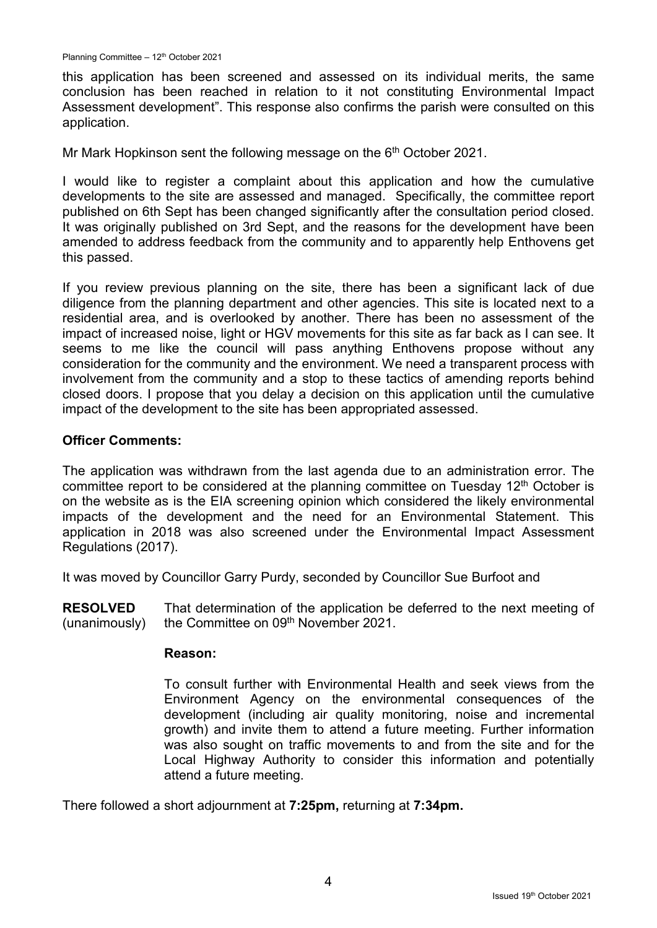this application has been screened and assessed on its individual merits, the same conclusion has been reached in relation to it not constituting Environmental Impact Assessment development". This response also confirms the parish were consulted on this application.

Mr Mark Hopkinson sent the following message on the  $6<sup>th</sup>$  October 2021.

I would like to register a complaint about this application and how the cumulative developments to the site are assessed and managed. Specifically, the committee report published on 6th Sept has been changed significantly after the consultation period closed. It was originally published on 3rd Sept, and the reasons for the development have been amended to address feedback from the community and to apparently help Enthovens get this passed.

If you review previous planning on the site, there has been a significant lack of due diligence from the planning department and other agencies. This site is located next to a residential area, and is overlooked by another. There has been no assessment of the impact of increased noise, light or HGV movements for this site as far back as I can see. It seems to me like the council will pass anything Enthovens propose without any consideration for the community and the environment. We need a transparent process with involvement from the community and a stop to these tactics of amending reports behind closed doors. I propose that you delay a decision on this application until the cumulative impact of the development to the site has been appropriated assessed.

#### **Officer Comments:**

The application was withdrawn from the last agenda due to an administration error. The committee report to be considered at the planning committee on Tuesday  $12<sup>th</sup>$  October is on the website as is the EIA screening opinion which considered the likely environmental impacts of the development and the need for an Environmental Statement. This application in 2018 was also screened under the Environmental Impact Assessment Regulations (2017).

It was moved by Councillor Garry Purdy, seconded by Councillor Sue Burfoot and

**RESOLVED** (unanimously) That determination of the application be deferred to the next meeting of the Committee on 09th November 2021.

#### **Reason:**

To consult further with Environmental Health and seek views from the Environment Agency on the environmental consequences of the development (including air quality monitoring, noise and incremental growth) and invite them to attend a future meeting. Further information was also sought on traffic movements to and from the site and for the Local Highway Authority to consider this information and potentially attend a future meeting.

There followed a short adjournment at **7:25pm,** returning at **7:34pm.**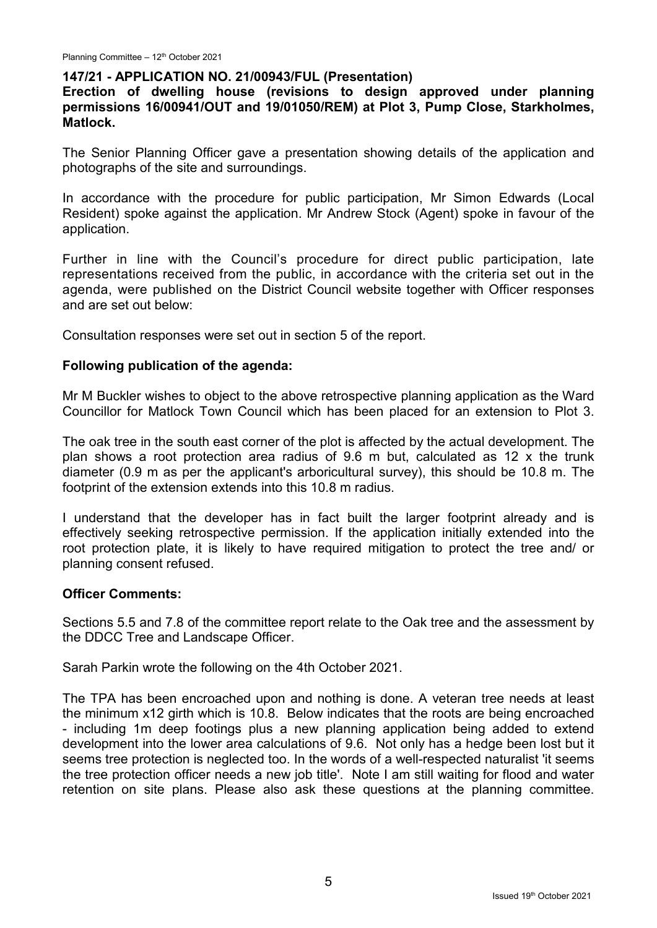### **147/21 - APPLICATION NO. 21/00943/FUL (Presentation)**

**Erection of dwelling house (revisions to design approved under planning permissions 16/00941/OUT and 19/01050/REM) at Plot 3, Pump Close, Starkholmes, Matlock.**

The Senior Planning Officer gave a presentation showing details of the application and photographs of the site and surroundings.

In accordance with the procedure for public participation, Mr Simon Edwards (Local Resident) spoke against the application. Mr Andrew Stock (Agent) spoke in favour of the application.

Further in line with the Council's procedure for direct public participation, late representations received from the public, in accordance with the criteria set out in the agenda, were published on the District Council website together with Officer responses and are set out below:

Consultation responses were set out in section 5 of the report.

### **Following publication of the agenda:**

Mr M Buckler wishes to object to the above retrospective planning application as the Ward Councillor for Matlock Town Council which has been placed for an extension to Plot 3.

The oak tree in the south east corner of the plot is affected by the actual development. The plan shows a root protection area radius of 9.6 m but, calculated as 12 x the trunk diameter (0.9 m as per the applicant's arboricultural survey), this should be 10.8 m. The footprint of the extension extends into this 10.8 m radius.

I understand that the developer has in fact built the larger footprint already and is effectively seeking retrospective permission. If the application initially extended into the root protection plate, it is likely to have required mitigation to protect the tree and/ or planning consent refused.

#### **Officer Comments:**

Sections 5.5 and 7.8 of the committee report relate to the Oak tree and the assessment by the DDCC Tree and Landscape Officer.

Sarah Parkin wrote the following on the 4th October 2021.

The TPA has been encroached upon and nothing is done. A veteran tree needs at least the minimum x12 girth which is 10.8. Below indicates that the roots are being encroached - including 1m deep footings plus a new planning application being added to extend development into the lower area calculations of 9.6. Not only has a hedge been lost but it seems tree protection is neglected too. In the words of a well-respected naturalist 'it seems the tree protection officer needs a new job title'. Note I am still waiting for flood and water retention on site plans. Please also ask these questions at the planning committee.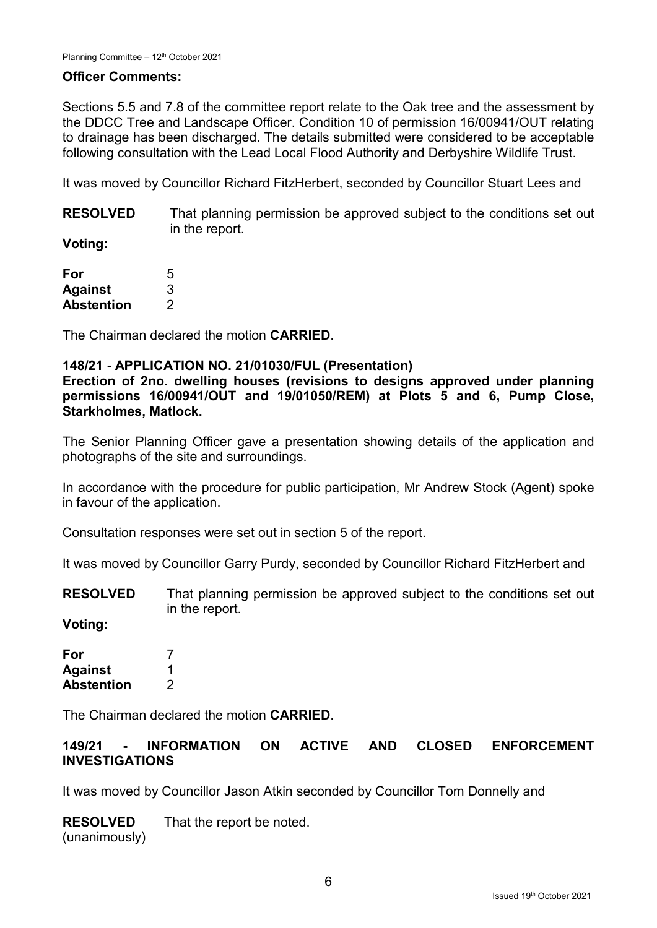### **Officer Comments:**

Sections 5.5 and 7.8 of the committee report relate to the Oak tree and the assessment by the DDCC Tree and Landscape Officer. Condition 10 of permission 16/00941/OUT relating to drainage has been discharged. The details submitted were considered to be acceptable following consultation with the Lead Local Flood Authority and Derbyshire Wildlife Trust.

It was moved by Councillor Richard FitzHerbert, seconded by Councillor Stuart Lees and

**RESOLVED** That planning permission be approved subject to the conditions set out in the report.

**Voting:**

| For            | 5 |
|----------------|---|
| <b>Against</b> | 3 |
| Abstention     | 2 |

The Chairman declared the motion **CARRIED**.

### **148/21 - APPLICATION NO. 21/01030/FUL (Presentation)**

**Erection of 2no. dwelling houses (revisions to designs approved under planning permissions 16/00941/OUT and 19/01050/REM) at Plots 5 and 6, Pump Close, Starkholmes, Matlock.**

The Senior Planning Officer gave a presentation showing details of the application and photographs of the site and surroundings.

In accordance with the procedure for public participation, Mr Andrew Stock (Agent) spoke in favour of the application.

Consultation responses were set out in section 5 of the report.

It was moved by Councillor Garry Purdy, seconded by Councillor Richard FitzHerbert and

**RESOLVED** That planning permission be approved subject to the conditions set out in the report.

**Voting:**

| For               |   |
|-------------------|---|
| <b>Against</b>    |   |
| <b>Abstention</b> | 2 |

The Chairman declared the motion **CARRIED**.

### **149/21 - INFORMATION ON ACTIVE AND CLOSED ENFORCEMENT INVESTIGATIONS**

It was moved by Councillor Jason Atkin seconded by Councillor Tom Donnelly and

**RESOLVED** (unanimously) That the report be noted.